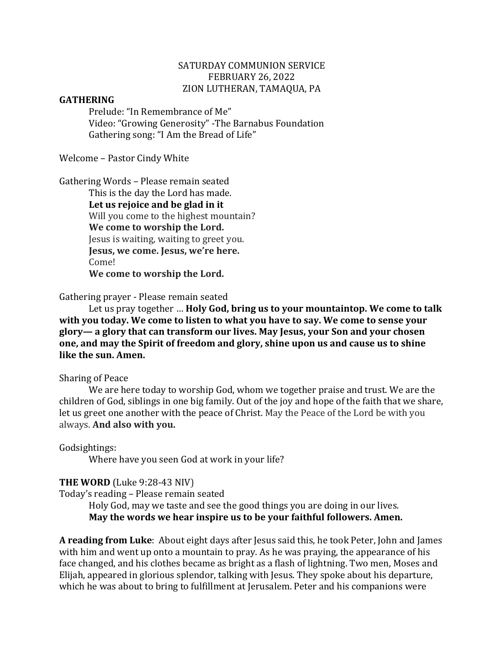### SATURDAY COMMUNION SERVICE FEBRUARY 26, 2022 ZION LUTHERAN, TAMAQUA, PA

#### **GATHERING**

Prelude: "In Remembrance of Me" Video: "Growing Generosity" -The Barnabus Foundation Gathering song: "I Am the Bread of Life"

Welcome - Pastor Cindy White

Gathering Words - Please remain seated

This is the day the Lord has made. Let us rejoice and be glad in it Will you come to the highest mountain? **We come to worship the Lord.** Jesus is waiting, waiting to greet you. **Jesus, we come. Jesus, we're here.** Come! **We come to worship the Lord.**

Gathering prayer - Please remain seated

Let us pray together ... **Holy God, bring us to your mountaintop. We come to talk** with you today. We come to listen to what you have to say. We come to sense your glory— a glory that can transform our lives. May Jesus, your Son and your chosen one, and may the Spirit of freedom and glory, shine upon us and cause us to shine **like the sun. Amen.** 

#### Sharing of Peace

We are here today to worship God, whom we together praise and trust. We are the children of God, siblings in one big family. Out of the joy and hope of the faith that we share, let us greet one another with the peace of Christ. May the Peace of the Lord be with you always. **And also with you.**

Godsightings:

Where have you seen God at work in your life?

#### **THE WORD** (Luke 9:28-43 NIV)

Today's reading - Please remain seated

Holy God, may we taste and see the good things you are doing in our lives. May the words we hear inspire us to be your faithful followers. Amen.

**A reading from Luke**: About eight days after Jesus said this, he took Peter, John and James with him and went up onto a mountain to pray. As he was praying, the appearance of his face changed, and his clothes became as bright as a flash of lightning. Two men, Moses and Elijah, appeared in glorious splendor, talking with Jesus. They spoke about his departure, which he was about to bring to fulfillment at Jerusalem. Peter and his companions were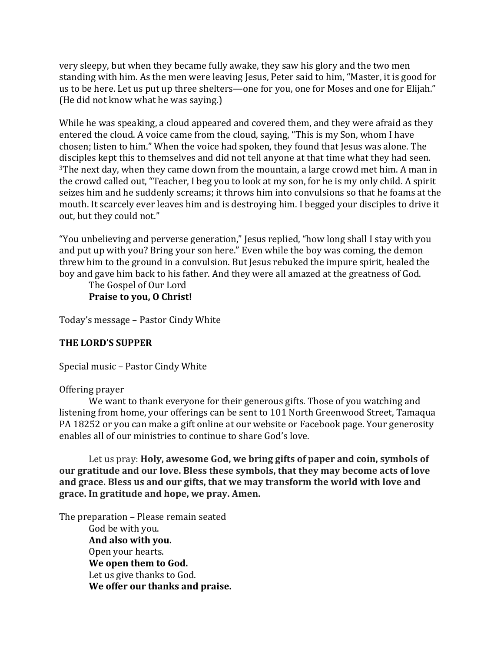very sleepy, but when they became fully awake, they saw his glory and the two men standing with him. As the men were leaving Jesus, Peter said to him, "Master, it is good for us to be here. Let us put up three shelters—one for you, one for Moses and one for Elijah." (He did not know what he was saying.)

While he was speaking, a cloud appeared and covered them, and they were afraid as they entered the cloud. A voice came from the cloud, saying, "This is my Son, whom I have chosen; listen to him." When the voice had spoken, they found that Jesus was alone. The disciples kept this to themselves and did not tell anyone at that time what they had seen.  $3$ The next day, when they came down from the mountain, a large crowd met him. A man in the crowd called out, "Teacher, I beg you to look at my son, for he is my only child. A spirit seizes him and he suddenly screams; it throws him into convulsions so that he foams at the mouth. It scarcely ever leaves him and is destroying him. I begged your disciples to drive it out, but they could not."

"You unbelieving and perverse generation," Jesus replied, "how long shall I stay with you and put up with you? Bring your son here." Even while the boy was coming, the demon threw him to the ground in a convulsion. But Jesus rebuked the impure spirit, healed the boy and gave him back to his father. And they were all amazed at the greatness of God.

The Gospel of Our Lord **Praise to you, O Christ!** 

Today's message - Pastor Cindy White

## **THE LORD'S SUPPER**

Special music - Pastor Cindy White

Offering prayer

We want to thank everyone for their generous gifts. Those of you watching and listening from home, your offerings can be sent to 101 North Greenwood Street, Tamaqua PA 18252 or you can make a gift online at our website or Facebook page. Your generosity enables all of our ministries to continue to share God's love.

Let us pray: **Holy, awesome God, we bring gifts of paper and coin, symbols of our gratitude and our love. Bless these symbols, that they may become acts of love** and grace. Bless us and our gifts, that we may transform the world with love and **grace. In gratitude and hope, we pray. Amen.**

The preparation - Please remain seated God be with you. **And also with you.** Open your hearts. We open them to God. Let us give thanks to God. **We offer our thanks and praise.**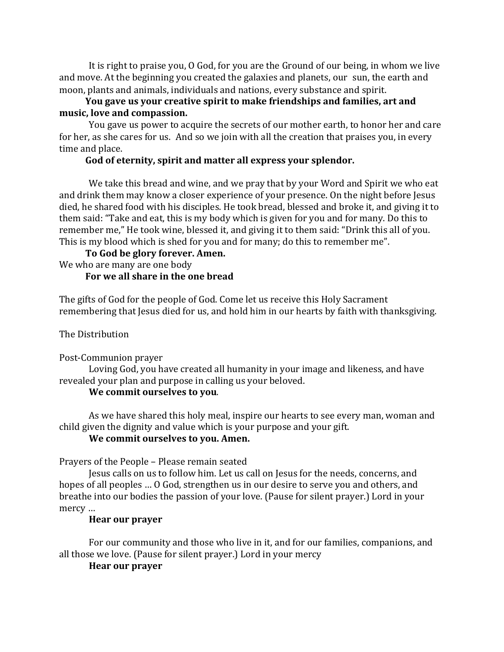It is right to praise you, O God, for you are the Ground of our being, in whom we live and move. At the beginning you created the galaxies and planets, our sun, the earth and moon, plants and animals, individuals and nations, every substance and spirit.

## **You gave us your creative spirit to make friendships and families, art and** music, love and compassion.

You gave us power to acquire the secrets of our mother earth, to honor her and care for her, as she cares for us. And so we join with all the creation that praises you, in every time and place.

## God of eternity, spirit and matter all express your splendor.

We take this bread and wine, and we pray that by your Word and Spirit we who eat and drink them may know a closer experience of your presence. On the night before Jesus died, he shared food with his disciples. He took bread, blessed and broke it, and giving it to them said: "Take and eat, this is my body which is given for you and for many. Do this to remember me," He took wine, blessed it, and giving it to them said: "Drink this all of you. This is my blood which is shed for you and for many; do this to remember me".

To God be glory forever. Amen. We who are many are one body

## **For we all share in the one bread**

The gifts of God for the people of God. Come let us receive this Holy Sacrament remembering that Jesus died for us, and hold him in our hearts by faith with thanksgiving.

The Distribution

Post-Communion prayer

Loving God, you have created all humanity in your image and likeness, and have revealed your plan and purpose in calling us your beloved.

## **We commit ourselves to you.**

As we have shared this holy meal, inspire our hearts to see every man, woman and child given the dignity and value which is your purpose and your gift.

# **We commit ourselves to you. Amen.**

Prayers of the People - Please remain seated

Jesus calls on us to follow him. Let us call on Jesus for the needs, concerns, and hopes of all peoples ... O God, strengthen us in our desire to serve you and others, and breathe into our bodies the passion of your love. (Pause for silent prayer.) Lord in your mercy ...

# **Hear our prayer**

For our community and those who live in it, and for our families, companions, and all those we love. (Pause for silent prayer.) Lord in your mercy

# **Hear our prayer**